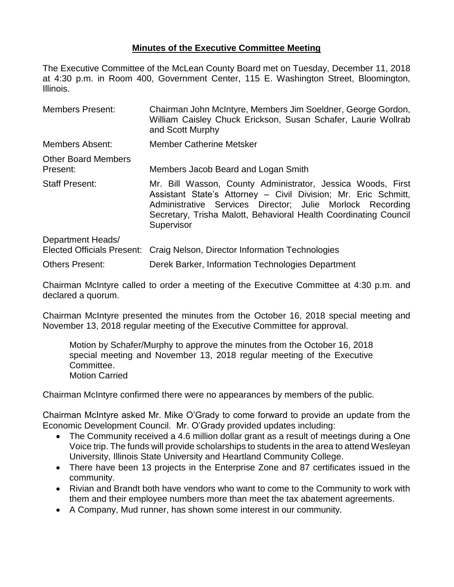## **Minutes of the Executive Committee Meeting**

The Executive Committee of the McLean County Board met on Tuesday, December 11, 2018 at 4:30 p.m. in Room 400, Government Center, 115 E. Washington Street, Bloomington, Illinois.

| <b>Members Present:</b>                | Chairman John McIntyre, Members Jim Soeldner, George Gordon,<br>William Caisley Chuck Erickson, Susan Schafer, Laurie Wollrab<br>and Scott Murphy                                                                                                                            |  |  |
|----------------------------------------|------------------------------------------------------------------------------------------------------------------------------------------------------------------------------------------------------------------------------------------------------------------------------|--|--|
| <b>Members Absent:</b>                 | <b>Member Catherine Metsker</b>                                                                                                                                                                                                                                              |  |  |
| <b>Other Board Members</b><br>Present: | Members Jacob Beard and Logan Smith                                                                                                                                                                                                                                          |  |  |
| <b>Staff Present:</b>                  | Mr. Bill Wasson, County Administrator, Jessica Woods, First<br>Assistant State's Attorney - Civil Division; Mr. Eric Schmitt,<br>Administrative Services Director; Julie Morlock Recording<br>Secretary, Trisha Malott, Behavioral Health Coordinating Council<br>Supervisor |  |  |
| Department Heads/                      | Elected Officials Present: Craig Nelson, Director Information Technologies                                                                                                                                                                                                   |  |  |
| <b>Others Present:</b>                 | Derek Barker, Information Technologies Department                                                                                                                                                                                                                            |  |  |

Chairman McIntyre called to order a meeting of the Executive Committee at 4:30 p.m. and declared a quorum.

Chairman McIntyre presented the minutes from the October 16, 2018 special meeting and November 13, 2018 regular meeting of the Executive Committee for approval.

Motion by Schafer/Murphy to approve the minutes from the October 16, 2018 special meeting and November 13, 2018 regular meeting of the Executive Committee. Motion Carried

Chairman McIntyre confirmed there were no appearances by members of the public.

Chairman McIntyre asked Mr. Mike O'Grady to come forward to provide an update from the Economic Development Council. Mr. O'Grady provided updates including:

- The Community received a 4.6 million dollar grant as a result of meetings during a One Voice trip. The funds will provide scholarships to students in the area to attend Wesleyan University, Illinois State University and Heartland Community College.
- There have been 13 projects in the Enterprise Zone and 87 certificates issued in the community.
- Rivian and Brandt both have vendors who want to come to the Community to work with them and their employee numbers more than meet the tax abatement agreements.
- A Company, Mud runner, has shown some interest in our community.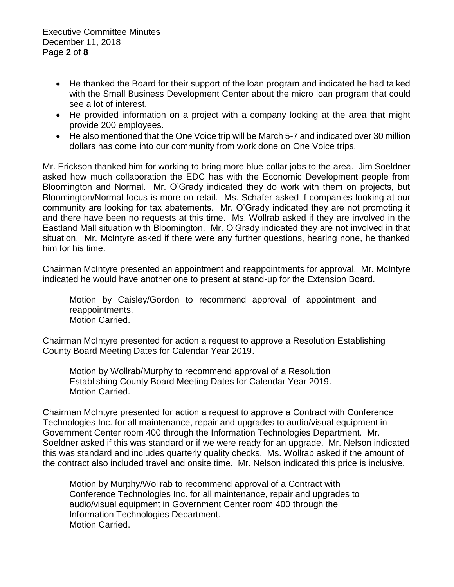Executive Committee Minutes December 11, 2018 Page **2** of **8**

- He thanked the Board for their support of the loan program and indicated he had talked with the Small Business Development Center about the micro loan program that could see a lot of interest.
- He provided information on a project with a company looking at the area that might provide 200 employees.
- He also mentioned that the One Voice trip will be March 5-7 and indicated over 30 million dollars has come into our community from work done on One Voice trips.

Mr. Erickson thanked him for working to bring more blue-collar jobs to the area. Jim Soeldner asked how much collaboration the EDC has with the Economic Development people from Bloomington and Normal. Mr. O'Grady indicated they do work with them on projects, but Bloomington/Normal focus is more on retail. Ms. Schafer asked if companies looking at our community are looking for tax abatements. Mr. O'Grady indicated they are not promoting it and there have been no requests at this time. Ms. Wollrab asked if they are involved in the Eastland Mall situation with Bloomington. Mr. O'Grady indicated they are not involved in that situation. Mr. McIntyre asked if there were any further questions, hearing none, he thanked him for his time.

Chairman McIntyre presented an appointment and reappointments for approval. Mr. McIntyre indicated he would have another one to present at stand-up for the Extension Board.

Motion by Caisley/Gordon to recommend approval of appointment and reappointments. Motion Carried.

Chairman McIntyre presented for action a request to approve a Resolution Establishing County Board Meeting Dates for Calendar Year 2019.

Motion by Wollrab/Murphy to recommend approval of a Resolution Establishing County Board Meeting Dates for Calendar Year 2019. Motion Carried.

Chairman McIntyre presented for action a request to approve a Contract with Conference Technologies Inc. for all maintenance, repair and upgrades to audio/visual equipment in Government Center room 400 through the Information Technologies Department. Mr. Soeldner asked if this was standard or if we were ready for an upgrade. Mr. Nelson indicated this was standard and includes quarterly quality checks. Ms. Wollrab asked if the amount of the contract also included travel and onsite time. Mr. Nelson indicated this price is inclusive.

Motion by Murphy/Wollrab to recommend approval of a Contract with Conference Technologies Inc. for all maintenance, repair and upgrades to audio/visual equipment in Government Center room 400 through the Information Technologies Department. Motion Carried.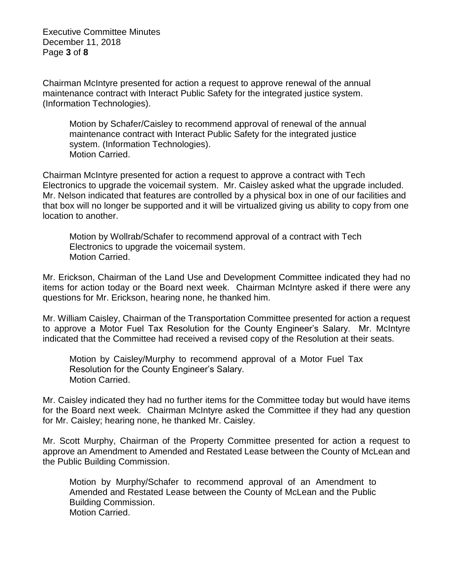Executive Committee Minutes December 11, 2018 Page **3** of **8**

Chairman McIntyre presented for action a request to approve renewal of the annual maintenance contract with Interact Public Safety for the integrated justice system. (Information Technologies).

Motion by Schafer/Caisley to recommend approval of renewal of the annual maintenance contract with Interact Public Safety for the integrated justice system. (Information Technologies). Motion Carried.

Chairman McIntyre presented for action a request to approve a contract with Tech Electronics to upgrade the voicemail system. Mr. Caisley asked what the upgrade included. Mr. Nelson indicated that features are controlled by a physical box in one of our facilities and that box will no longer be supported and it will be virtualized giving us ability to copy from one location to another.

Motion by Wollrab/Schafer to recommend approval of a contract with Tech Electronics to upgrade the voicemail system. Motion Carried.

Mr. Erickson, Chairman of the Land Use and Development Committee indicated they had no items for action today or the Board next week. Chairman McIntyre asked if there were any questions for Mr. Erickson, hearing none, he thanked him.

Mr. William Caisley, Chairman of the Transportation Committee presented for action a request to approve a Motor Fuel Tax Resolution for the County Engineer's Salary. Mr. McIntyre indicated that the Committee had received a revised copy of the Resolution at their seats.

Motion by Caisley/Murphy to recommend approval of a Motor Fuel Tax Resolution for the County Engineer's Salary. Motion Carried.

Mr. Caisley indicated they had no further items for the Committee today but would have items for the Board next week. Chairman McIntyre asked the Committee if they had any question for Mr. Caisley; hearing none, he thanked Mr. Caisley.

Mr. Scott Murphy, Chairman of the Property Committee presented for action a request to approve an Amendment to Amended and Restated Lease between the County of McLean and the Public Building Commission.

Motion by Murphy/Schafer to recommend approval of an Amendment to Amended and Restated Lease between the County of McLean and the Public Building Commission. Motion Carried.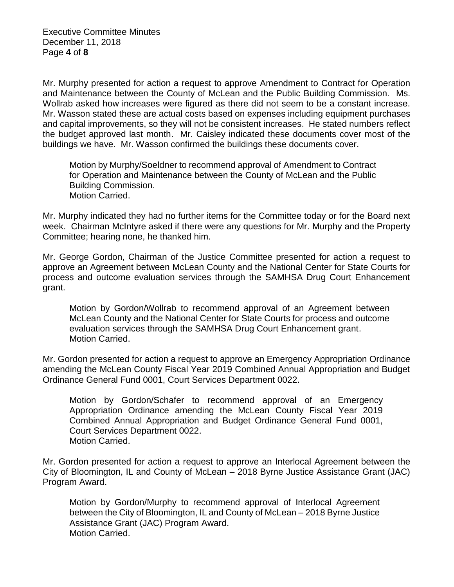Executive Committee Minutes December 11, 2018 Page **4** of **8**

Mr. Murphy presented for action a request to approve Amendment to Contract for Operation and Maintenance between the County of McLean and the Public Building Commission. Ms. Wollrab asked how increases were figured as there did not seem to be a constant increase. Mr. Wasson stated these are actual costs based on expenses including equipment purchases and capital improvements, so they will not be consistent increases. He stated numbers reflect the budget approved last month. Mr. Caisley indicated these documents cover most of the buildings we have. Mr. Wasson confirmed the buildings these documents cover.

Motion by Murphy/Soeldner to recommend approval of Amendment to Contract for Operation and Maintenance between the County of McLean and the Public Building Commission. Motion Carried.

Mr. Murphy indicated they had no further items for the Committee today or for the Board next week. Chairman McIntyre asked if there were any questions for Mr. Murphy and the Property Committee; hearing none, he thanked him.

Mr. George Gordon, Chairman of the Justice Committee presented for action a request to approve an Agreement between McLean County and the National Center for State Courts for process and outcome evaluation services through the SAMHSA Drug Court Enhancement grant.

Motion by Gordon/Wollrab to recommend approval of an Agreement between McLean County and the National Center for State Courts for process and outcome evaluation services through the SAMHSA Drug Court Enhancement grant. Motion Carried.

Mr. Gordon presented for action a request to approve an Emergency Appropriation Ordinance amending the McLean County Fiscal Year 2019 Combined Annual Appropriation and Budget Ordinance General Fund 0001, Court Services Department 0022.

Motion by Gordon/Schafer to recommend approval of an Emergency Appropriation Ordinance amending the McLean County Fiscal Year 2019 Combined Annual Appropriation and Budget Ordinance General Fund 0001, Court Services Department 0022. Motion Carried.

Mr. Gordon presented for action a request to approve an Interlocal Agreement between the City of Bloomington, IL and County of McLean – 2018 Byrne Justice Assistance Grant (JAC) Program Award.

Motion by Gordon/Murphy to recommend approval of Interlocal Agreement between the City of Bloomington, IL and County of McLean – 2018 Byrne Justice Assistance Grant (JAC) Program Award. Motion Carried.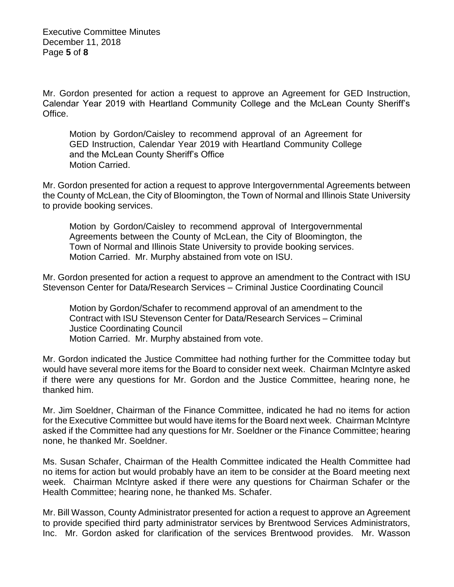Executive Committee Minutes December 11, 2018 Page **5** of **8**

Mr. Gordon presented for action a request to approve an Agreement for GED Instruction, Calendar Year 2019 with Heartland Community College and the McLean County Sheriff's Office.

Motion by Gordon/Caisley to recommend approval of an Agreement for GED Instruction, Calendar Year 2019 with Heartland Community College and the McLean County Sheriff's Office Motion Carried.

Mr. Gordon presented for action a request to approve Intergovernmental Agreements between the County of McLean, the City of Bloomington, the Town of Normal and Illinois State University to provide booking services.

Motion by Gordon/Caisley to recommend approval of Intergovernmental Agreements between the County of McLean, the City of Bloomington, the Town of Normal and Illinois State University to provide booking services. Motion Carried. Mr. Murphy abstained from vote on ISU.

Mr. Gordon presented for action a request to approve an amendment to the Contract with ISU Stevenson Center for Data/Research Services – Criminal Justice Coordinating Council

Motion by Gordon/Schafer to recommend approval of an amendment to the Contract with ISU Stevenson Center for Data/Research Services – Criminal Justice Coordinating Council Motion Carried. Mr. Murphy abstained from vote.

Mr. Gordon indicated the Justice Committee had nothing further for the Committee today but would have several more items for the Board to consider next week. Chairman McIntyre asked if there were any questions for Mr. Gordon and the Justice Committee, hearing none, he thanked him.

Mr. Jim Soeldner, Chairman of the Finance Committee, indicated he had no items for action for the Executive Committee but would have items for the Board next week. Chairman McIntyre asked if the Committee had any questions for Mr. Soeldner or the Finance Committee; hearing none, he thanked Mr. Soeldner.

Ms. Susan Schafer, Chairman of the Health Committee indicated the Health Committee had no items for action but would probably have an item to be consider at the Board meeting next week. Chairman McIntyre asked if there were any questions for Chairman Schafer or the Health Committee; hearing none, he thanked Ms. Schafer.

Mr. Bill Wasson, County Administrator presented for action a request to approve an Agreement to provide specified third party administrator services by Brentwood Services Administrators, Inc. Mr. Gordon asked for clarification of the services Brentwood provides. Mr. Wasson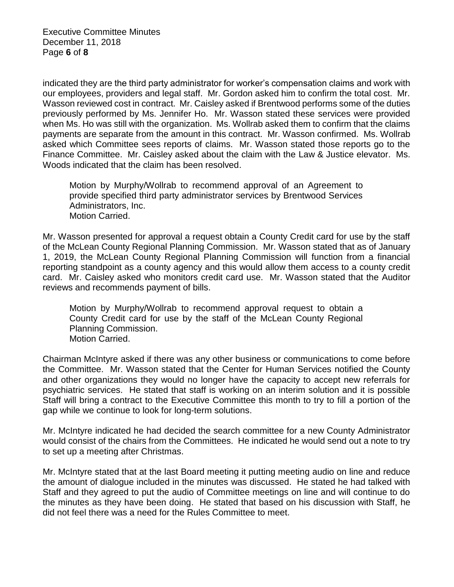Executive Committee Minutes December 11, 2018 Page **6** of **8**

indicated they are the third party administrator for worker's compensation claims and work with our employees, providers and legal staff. Mr. Gordon asked him to confirm the total cost. Mr. Wasson reviewed cost in contract. Mr. Caisley asked if Brentwood performs some of the duties previously performed by Ms. Jennifer Ho. Mr. Wasson stated these services were provided when Ms. Ho was still with the organization. Ms. Wollrab asked them to confirm that the claims payments are separate from the amount in this contract. Mr. Wasson confirmed. Ms. Wollrab asked which Committee sees reports of claims. Mr. Wasson stated those reports go to the Finance Committee. Mr. Caisley asked about the claim with the Law & Justice elevator. Ms. Woods indicated that the claim has been resolved.

Motion by Murphy/Wollrab to recommend approval of an Agreement to provide specified third party administrator services by Brentwood Services Administrators, Inc. Motion Carried.

Mr. Wasson presented for approval a request obtain a County Credit card for use by the staff of the McLean County Regional Planning Commission. Mr. Wasson stated that as of January 1, 2019, the McLean County Regional Planning Commission will function from a financial reporting standpoint as a county agency and this would allow them access to a county credit card. Mr. Caisley asked who monitors credit card use. Mr. Wasson stated that the Auditor reviews and recommends payment of bills.

Motion by Murphy/Wollrab to recommend approval request to obtain a County Credit card for use by the staff of the McLean County Regional Planning Commission. Motion Carried.

Chairman McIntyre asked if there was any other business or communications to come before the Committee. Mr. Wasson stated that the Center for Human Services notified the County and other organizations they would no longer have the capacity to accept new referrals for psychiatric services. He stated that staff is working on an interim solution and it is possible Staff will bring a contract to the Executive Committee this month to try to fill a portion of the gap while we continue to look for long-term solutions.

Mr. McIntyre indicated he had decided the search committee for a new County Administrator would consist of the chairs from the Committees. He indicated he would send out a note to try to set up a meeting after Christmas.

Mr. McIntyre stated that at the last Board meeting it putting meeting audio on line and reduce the amount of dialogue included in the minutes was discussed. He stated he had talked with Staff and they agreed to put the audio of Committee meetings on line and will continue to do the minutes as they have been doing. He stated that based on his discussion with Staff, he did not feel there was a need for the Rules Committee to meet.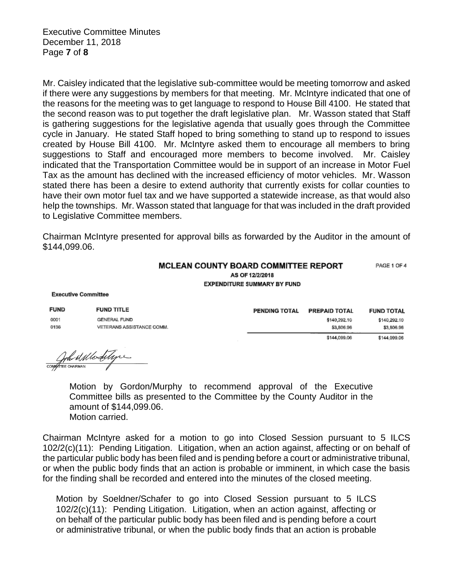Executive Committee Minutes December 11, 2018 Page **7** of **8**

Mr. Caisley indicated that the legislative sub-committee would be meeting tomorrow and asked if there were any suggestions by members for that meeting. Mr. McIntyre indicated that one of the reasons for the meeting was to get language to respond to House Bill 4100. He stated that the second reason was to put together the draft legislative plan. Mr. Wasson stated that Staff is gathering suggestions for the legislative agenda that usually goes through the Committee cycle in January. He stated Staff hoped to bring something to stand up to respond to issues created by House Bill 4100. Mr. McIntyre asked them to encourage all members to bring suggestions to Staff and encouraged more members to become involved. Mr. Caisley indicated that the Transportation Committee would be in support of an increase in Motor Fuel Tax as the amount has declined with the increased efficiency of motor vehicles. Mr. Wasson stated there has been a desire to extend authority that currently exists for collar counties to have their own motor fuel tax and we have supported a statewide increase, as that would also help the townships. Mr. Wasson stated that language for that was included in the draft provided to Legislative Committee members.

Chairman McIntyre presented for approval bills as forwarded by the Auditor in the amount of \$144,099.06.

## MCLEAN COUNTY BOARD COMMITTEE REPORT AS OF 12/2/2018 **EXPENDITURE SUMMARY BY FUND**

PAGE 1 OF 4

|             | <b>Executive Committee</b> |                      |                      |                   |
|-------------|----------------------------|----------------------|----------------------|-------------------|
| <b>FUND</b> | <b>FUND TITLE</b>          | <b>PENDING TOTAL</b> | <b>PREPAID TOTAL</b> | <b>FUND TOTAL</b> |
| 0001        | GENERAL FUND               |                      | \$140,292.10         | \$140,292.10      |
| 0136        | VETERANS ASSISTANCE COMM.  |                      | \$3,806.96           | \$3,806.96        |
|             |                            |                      | \$144,099.06         | \$144,000.06      |

Comptere convenient

Motion by Gordon/Murphy to recommend approval of the Executive Committee bills as presented to the Committee by the County Auditor in the amount of \$144,099.06. Motion carried.

Chairman McIntyre asked for a motion to go into Closed Session pursuant to 5 ILCS 102/2(c)(11): Pending Litigation. Litigation, when an action against, affecting or on behalf of the particular public body has been filed and is pending before a court or administrative tribunal, or when the public body finds that an action is probable or imminent, in which case the basis for the finding shall be recorded and entered into the minutes of the closed meeting.

Motion by Soeldner/Schafer to go into Closed Session pursuant to 5 ILCS 102/2(c)(11): Pending Litigation. Litigation, when an action against, affecting or on behalf of the particular public body has been filed and is pending before a court or administrative tribunal, or when the public body finds that an action is probable